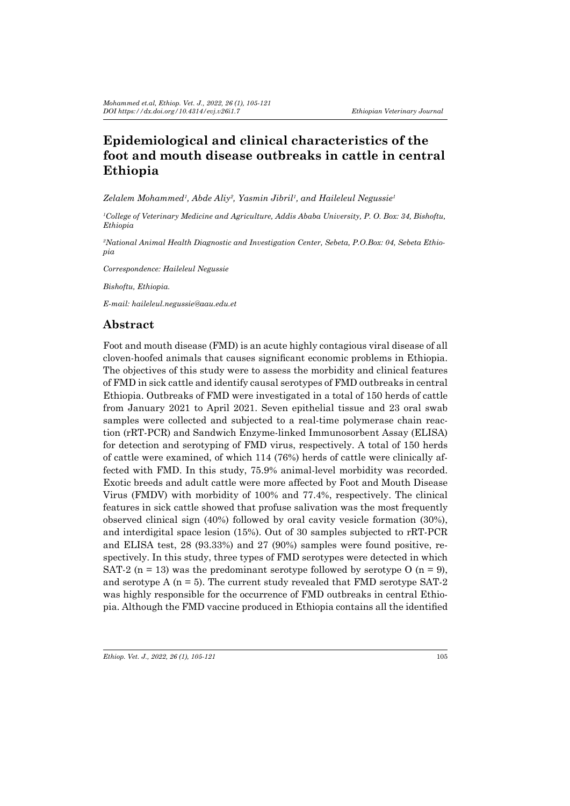# **Epidemiological and clinical characteristics of the foot and mouth disease outbreaks in cattle in central Ethiopia**

*Zelalem Mohammed<sup>1</sup> , Abde Aliy<sup>2</sup> , Yasmin Jibril1 , and Haileleul Negussie1*

*1 College of Veterinary Medicine and Agriculture, Addis Ababa University, P. O. Box: 34, Bishoftu, Ethiopia* 

*2 National Animal Health Diagnostic and Investigation Center, Sebeta, P.O.Box: 04, Sebeta Ethiopia*

*Correspondence: Haileleul Negussie*

*Bishoftu, Ethiopia.* 

*E-mail: haileleul.negussie@aau.edu.et*

# **Abstract**

Foot and mouth disease (FMD) is an acute highly contagious viral disease of all cloven-hoofed animals that causes significant economic problems in Ethiopia. The objectives of this study were to assess the morbidity and clinical features of FMD in sick cattle and identify causal serotypes of FMD outbreaks in central Ethiopia. Outbreaks of FMD were investigated in a total of 150 herds of cattle from January 2021 to April 2021. Seven epithelial tissue and 23 oral swab samples were collected and subjected to a real-time polymerase chain reaction (rRT-PCR) and Sandwich Enzyme-linked Immunosorbent Assay (ELISA) for detection and serotyping of FMD virus, respectively. A total of 150 herds of cattle were examined, of which 114 (76%) herds of cattle were clinically affected with FMD. In this study, 75.9% animal-level morbidity was recorded. Exotic breeds and adult cattle were more affected by Foot and Mouth Disease Virus (FMDV) with morbidity of 100% and 77.4%, respectively. The clinical features in sick cattle showed that profuse salivation was the most frequently observed clinical sign (40%) followed by oral cavity vesicle formation (30%), and interdigital space lesion (15%). Out of 30 samples subjected to rRT-PCR and ELISA test, 28 (93.33%) and 27 (90%) samples were found positive, respectively. In this study, three types of FMD serotypes were detected in which SAT-2 (n = 13) was the predominant serotype followed by serotype O (n = 9), and serotype  $A$  ( $n = 5$ ). The current study revealed that FMD serotype SAT-2 was highly responsible for the occurrence of FMD outbreaks in central Ethiopia. Although the FMD vaccine produced in Ethiopia contains all the identified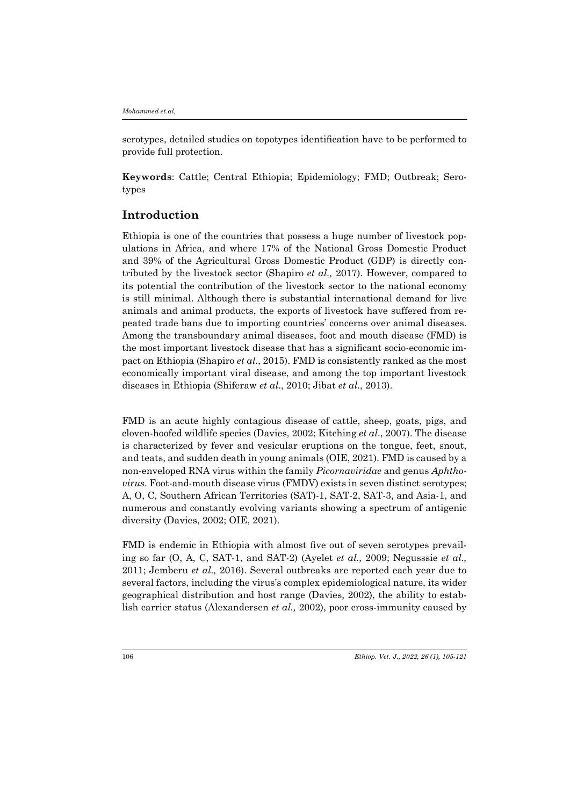serotypes, detailed studies on topotypes identification have to be performed to provide full protection.

**Keywords**: Cattle; Central Ethiopia; Epidemiology; FMD; Outbreak; Serotypes

## **Introduction**

Ethiopia is one of the countries that possess a huge number of livestock populations in Africa, and where 17% of the National Gross Domestic Product and 39% of the Agricultural Gross Domestic Product (GDP) is directly contributed by the livestock sector (Shapiro *et al.,* 2017). However, compared to its potential the contribution of the livestock sector to the national economy is still minimal. Although there is substantial international demand for live animals and animal products, the exports of livestock have suffered from repeated trade bans due to importing countries' concerns over animal diseases. Among the transboundary animal diseases, foot and mouth disease (FMD) is the most important livestock disease that has a significant socio-economic impact on Ethiopia (Shapiro *et al*., 2015). FMD is consistently ranked as the most economically important viral disease, and among the top important livestock diseases in Ethiopia (Shiferaw *et al*., 2010; Jibat *et al*., 2013).

FMD is an acute highly contagious disease of cattle, sheep, goats, pigs, and cloven-hoofed wildlife species (Davies, 2002; Kitching *et al*., 2007). The disease is characterized by fever and vesicular eruptions on the tongue, feet, snout, and teats, and sudden death in young animals (OIE, 2021). FMD is caused by a non-enveloped RNA virus within the family *Picornaviridae* and genus *Aphthovirus*. Foot-and-mouth disease virus (FMDV) exists in seven distinct serotypes; A, O, C, Southern African Territories (SAT)-1, SAT-2, SAT-3, and Asia-1, and numerous and constantly evolving variants showing a spectrum of antigenic diversity (Davies, 2002; OIE, 2021).

FMD is endemic in Ethiopia with almost five out of seven serotypes prevailing so far (O, A, C, SAT-1, and SAT-2) (Ayelet *et al.,* 2009; Negusssie *et al.,*  2011; Jemberu *et al.,* 2016). Several outbreaks are reported each year due to several factors, including the virus's complex epidemiological nature, its wider geographical distribution and host range (Davies, 2002), the ability to establish carrier status (Alexandersen *et al.,* 2002), poor cross-immunity caused by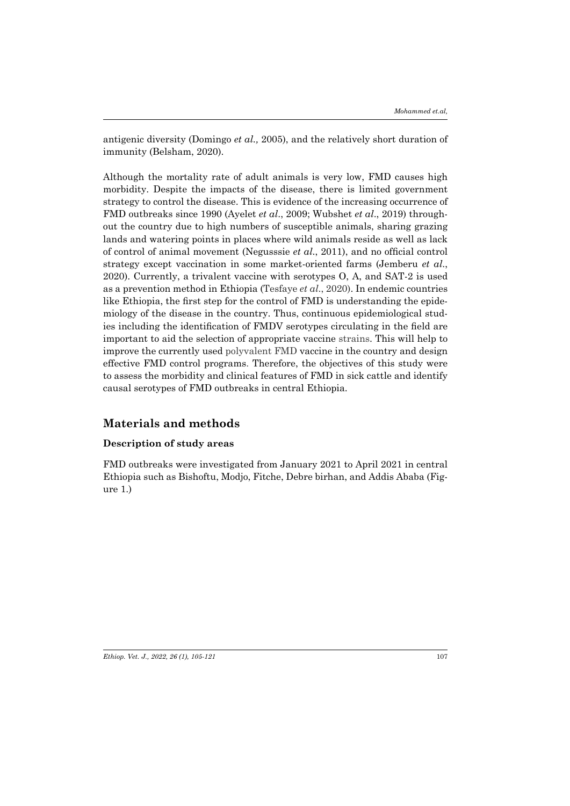antigenic diversity (Domingo *et al.,* 2005), and the relatively short duration of immunity (Belsham, 2020).

Although the mortality rate of adult animals is very low, FMD causes high morbidity. Despite the impacts of the disease, there is limited government strategy to control the disease. This is evidence of the increasing occurrence of FMD outbreaks since 1990 (Ayelet *et al*., 2009; Wubshet *et al*., 2019) throughout the country due to high numbers of susceptible animals, sharing grazing lands and watering points in places where wild animals reside as well as lack of control of animal movement (Negusssie *et al*., 2011), and no official control strategy except vaccination in some market-oriented farms (Jemberu *et al*., 2020). Currently, a trivalent vaccine with serotypes O, A, and SAT-2 is used as a prevention method in Ethiopia (Tesfaye *et al*., 2020). In endemic countries like Ethiopia, the first step for the control of FMD is understanding the epidemiology of the disease in the country. Thus, continuous epidemiological studies including the identification of FMDV serotypes circulating in the field are important to aid the selection of appropriate vaccine strains. This will help to improve the currently used polyvalent FMD vaccine in the country and design effective FMD control programs. Therefore, the objectives of this study were to assess the morbidity and clinical features of FMD in sick cattle and identify causal serotypes of FMD outbreaks in central Ethiopia.

## **Materials and methods**

## **Description of study areas**

FMD outbreaks were investigated from January 2021 to April 2021 in central Ethiopia such as Bishoftu, Modjo, Fitche, Debre birhan, and Addis Ababa (Figure 1.)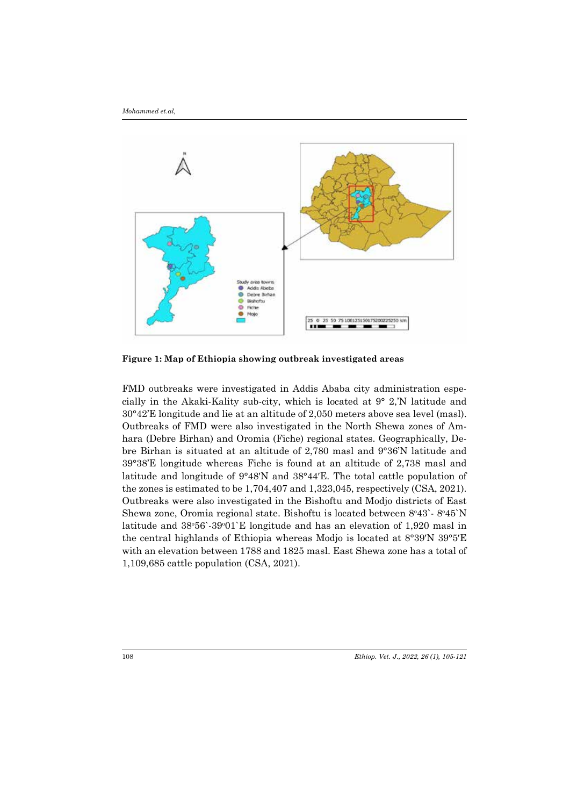

**Figure 1: Map of Ethiopia showing outbreak investigated areas**

FMD outbreaks were investigated in Addis Ababa city administration especially in the Akaki-Kality sub-city, which is located at 9° 2,'N latitude and 30°42'E longitude and lie at an altitude of 2,050 meters above sea level (masl). Outbreaks of FMD were also investigated in the North Shewa zones of Amhara (Debre Birhan) and Oromia (Fiche) regional states. Geographically, Debre Birhan is situated at an altitude of 2,780 masl and 9°36'N latitude and 39°38'E longitude whereas Fiche is found at an altitude of 2,738 masl and latitude and longitude of 9°48′N and 38°44′E. The total cattle population of the zones is estimated to be 1,704,407 and 1,323,045, respectively (CSA, 2021). Outbreaks were also investigated in the Bishoftu and Modjo districts of East Shewa zone, Oromia regional state. Bishoftu is located between 8°43`-8°45`N latitude and 38°56`-39°01`E longitude and has an elevation of 1,920 masl in the central highlands of Ethiopia whereas Modjo is located at 8°39′N 39°5′E with an elevation between 1788 and 1825 masl. East Shewa zone has a total of 1,109,685 cattle population (CSA, 2021).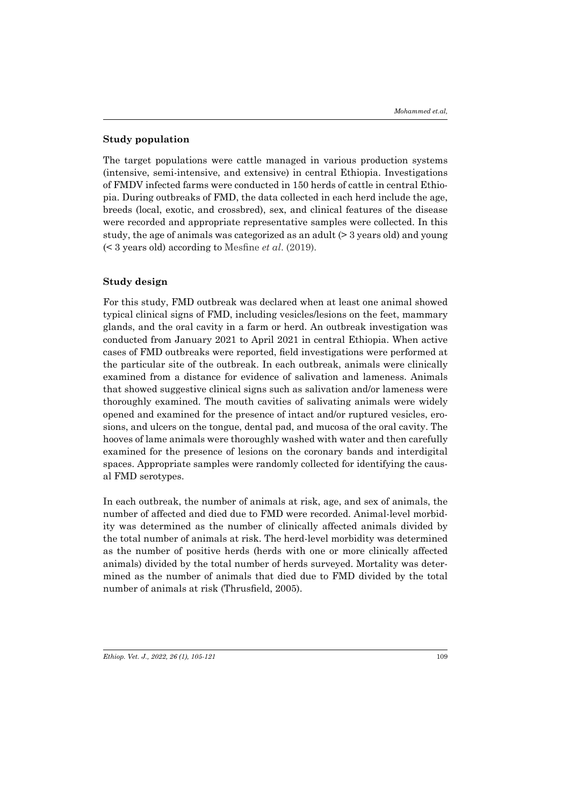### **Study population**

The target populations were cattle managed in various production systems (intensive, semi-intensive, and extensive) in central Ethiopia. Investigations of FMDV infected farms were conducted in 150 herds of cattle in central Ethiopia. During outbreaks of FMD, the data collected in each herd include the age, breeds (local, exotic, and crossbred), sex, and clinical features of the disease were recorded and appropriate representative samples were collected. In this study, the age of animals was categorized as an adult (> 3 years old) and young (< 3 years old) according to Mesfine *et al*. (2019).

### **Study design**

For this study, FMD outbreak was declared when at least one animal showed typical clinical signs of FMD, including vesicles/lesions on the feet, mammary glands, and the oral cavity in a farm or herd. An outbreak investigation was conducted from January 2021 to April 2021 in central Ethiopia. When active cases of FMD outbreaks were reported, field investigations were performed at the particular site of the outbreak. In each outbreak, animals were clinically examined from a distance for evidence of salivation and lameness. Animals that showed suggestive clinical signs such as salivation and/or lameness were thoroughly examined. The mouth cavities of salivating animals were widely opened and examined for the presence of intact and/or ruptured vesicles, erosions, and ulcers on the tongue, dental pad, and mucosa of the oral cavity. The hooves of lame animals were thoroughly washed with water and then carefully examined for the presence of lesions on the coronary bands and interdigital spaces. Appropriate samples were randomly collected for identifying the causal FMD serotypes.

In each outbreak, the number of animals at risk, age, and sex of animals, the number of affected and died due to FMD were recorded. Animal-level morbidity was determined as the number of clinically affected animals divided by the total number of animals at risk. The herd-level morbidity was determined as the number of positive herds (herds with one or more clinically affected animals) divided by the total number of herds surveyed. Mortality was determined as the number of animals that died due to FMD divided by the total number of animals at risk (Thrusfield, 2005).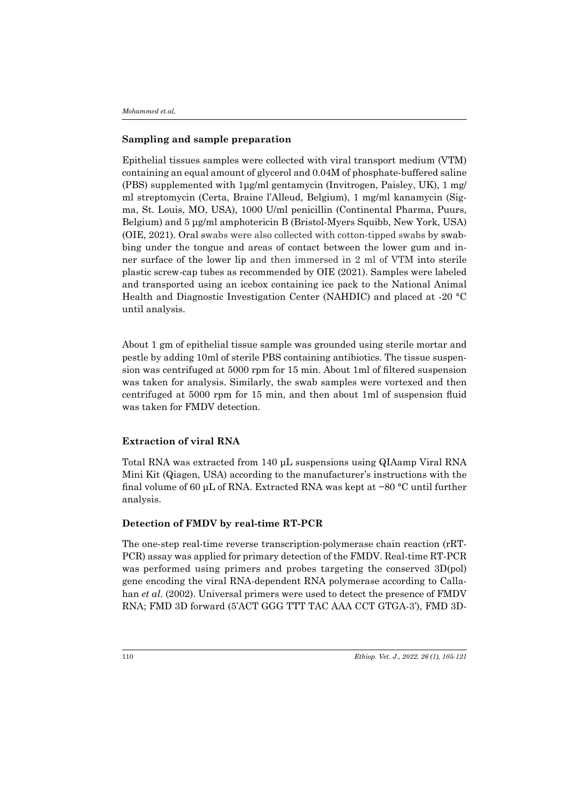### **Sampling and sample preparation**

Epithelial tissues samples were collected with viral transport medium (VTM) containing an equal amount of glycerol and 0.04M of phosphate-buffered saline (PBS) supplemented with 1μg/ml gentamycin (Invitrogen, Paisley, UK), 1 mg/ ml streptomycin (Certa, Braine l'Alleud, Belgium), 1 mg/ml kanamycin (Sigma, St. Louis, MO, USA), 1000 U/ml penicillin (Continental Pharma, Puurs, Belgium) and 5 μg/ml amphotericin B (Bristol-Myers Squibb, New York, USA) (OIE, 2021). Oral swabs were also collected with cotton-tipped swabs by swabbing under the tongue and areas of contact between the lower gum and inner surface of the lower lip and then immersed in 2 ml of VTM into sterile plastic screw-cap tubes as recommended by OIE (2021). Samples were labeled and transported using an icebox containing ice pack to the National Animal Health and Diagnostic Investigation Center (NAHDIC) and placed at -20 °C until analysis.

About 1 gm of epithelial tissue sample was grounded using sterile mortar and pestle by adding 10ml of sterile PBS containing antibiotics. The tissue suspension was centrifuged at 5000 rpm for 15 min. About 1ml of filtered suspension was taken for analysis. Similarly, the swab samples were vortexed and then centrifuged at 5000 rpm for 15 min, and then about 1ml of suspension fluid was taken for FMDV detection.

### **Extraction of viral RNA**

Total RNA was extracted from 140 μL suspensions using QIAamp Viral RNA Mini Kit (Qiagen, USA) according to the manufacturer's instructions with the final volume of 60 μL of RNA. Extracted RNA was kept at −80 °C until further analysis.

### **Detection of FMDV by real-time RT-PCR**

The one-step real-time reverse transcription-polymerase chain reaction (rRT-PCR) assay was applied for primary detection of the FMDV. Real-time RT-PCR was performed using primers and probes targeting the conserved 3D(pol) gene encoding the viral RNA-dependent RNA polymerase according to Callahan *et al*. (2002). Universal primers were used to detect the presence of FMDV RNA; FMD 3D forward (5'ACT GGG TTT TAC AAA CCT GTGA-3'), FMD 3D-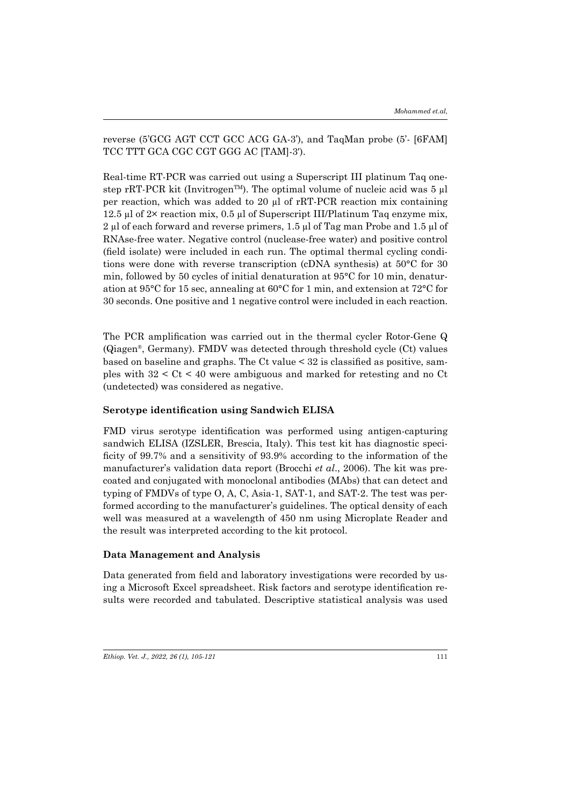reverse (5'GCG AGT CCT GCC ACG GA-3'), and TaqMan probe (5'- [6FAM] TCC TTT GCA CGC CGT GGG AC [TAM]-3′).

Real-time RT-PCR was carried out using a Superscript III platinum Taq onestep rRT-PCR kit (Invitrogen<sup>TM</sup>). The optimal volume of nucleic acid was  $5 \mu$ l per reaction, which was added to 20 µl of rRT-PCR reaction mix containing 12.5 µl of 2× reaction mix, 0.5 µl of Superscript III/Platinum Taq enzyme mix, 2 µl of each forward and reverse primers, 1.5 µl of Tag man Probe and 1.5 µl of RNAse-free water. Negative control (nuclease-free water) and positive control (field isolate) were included in each run. The optimal thermal cycling conditions were done with reverse transcription (cDNA synthesis) at 50°C for 30 min, followed by 50 cycles of initial denaturation at 95°C for 10 min, denaturation at 95°C for 15 sec, annealing at 60°C for 1 min, and extension at 72°C for 30 seconds. One positive and 1 negative control were included in each reaction.

The PCR amplification was carried out in the thermal cycler Rotor-Gene Q (Qiagen®, Germany). FMDV was detected through threshold cycle (Ct) values based on baseline and graphs. The Ct value < 32 is classified as positive, samples with 32 < Ct < 40 were ambiguous and marked for retesting and no Ct (undetected) was considered as negative.

#### **Serotype identification using Sandwich ELISA**

FMD virus serotype identification was performed using antigen-capturing sandwich ELISA (IZSLER, Brescia, Italy). This test kit has diagnostic specificity of 99.7% and a sensitivity of 93.9% according to the information of the manufacturer's validation data report (Brocchi *et al*., 2006). The kit was precoated and conjugated with monoclonal antibodies (MAbs) that can detect and typing of FMDVs of type O, A, C, Asia-1, SAT-1, and SAT-2. The test was performed according to the manufacturer's guidelines. The optical density of each well was measured at a wavelength of 450 nm using Microplate Reader and the result was interpreted according to the kit protocol.

### **Data Management and Analysis**

Data generated from field and laboratory investigations were recorded by using a Microsoft Excel spreadsheet. Risk factors and serotype identification results were recorded and tabulated. Descriptive statistical analysis was used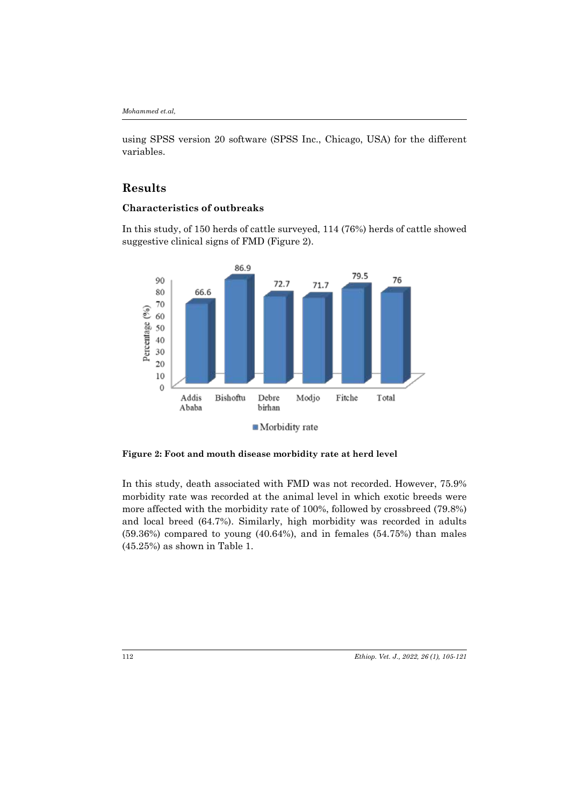using SPSS version 20 software (SPSS Inc., Chicago, USA) for the different variables.

# **Results**

## **Characteristics of outbreaks**

In this study, of 150 herds of cattle surveyed, 114 (76%) herds of cattle showed suggestive clinical signs of FMD (Figure 2).



**Figure 2: Foot and mouth disease morbidity rate at herd level**

In this study, death associated with FMD was not recorded. However, 75.9% morbidity rate was recorded at the animal level in which exotic breeds were more affected with the morbidity rate of 100%, followed by crossbreed (79.8%) and local breed (64.7%). Similarly, high morbidity was recorded in adults  $(59.36%)$  compared to young  $(40.64%)$ , and in females  $(54.75%)$  than males (45.25%) as shown in Table 1.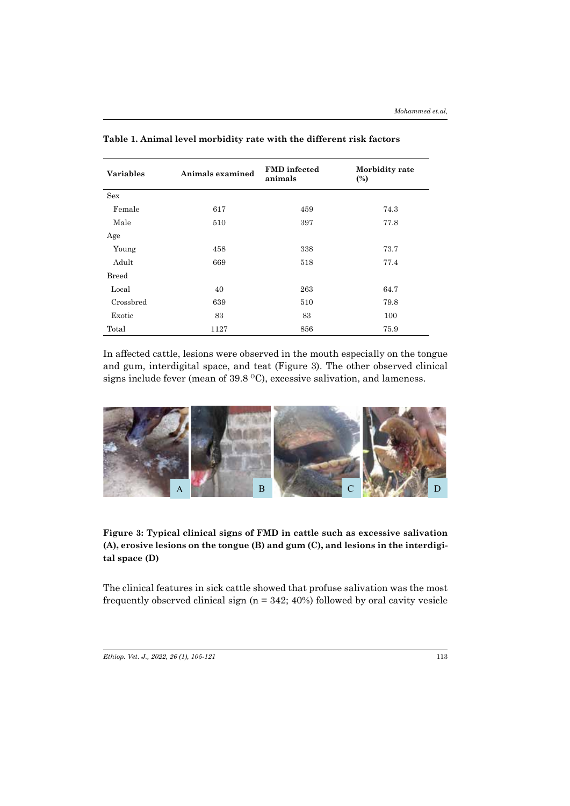| <b>Variables</b> | Animals examined | <b>FMD</b> infected<br>animals | Morbidity rate<br>$\frac{6}{2}$ |  |
|------------------|------------------|--------------------------------|---------------------------------|--|
| <b>Sex</b>       |                  |                                |                                 |  |
| Female           | 617              | 459                            | 74.3                            |  |
| Male             | 510              | 397                            | 77.8                            |  |
| Age              |                  |                                |                                 |  |
| Young            | 458              | 338                            | 73.7                            |  |
| Adult            | 669              | 518                            | 77.4                            |  |
| Breed            |                  |                                |                                 |  |
| Local            | 40               | 263                            | 64.7                            |  |
| Crossbred        | 639              | 510                            | 79.8                            |  |
| Exotic           | 83               | 83                             | 100                             |  |
| Total            | 1127             | 856                            | 75.9                            |  |

**Table 1. Animal level morbidity rate with the different risk factors** 

In affected cattle, lesions were observed in the mouth especially on the tongue and gum, interdigital space, and teat (Figure 3). The other observed clinical signs include fever (mean of  $39.8 \text{ }^{\circ}\text{C}$ ), excessive salivation, and lameness.



**Figure 3: Typical clinical signs of FMD in cattle such as excessive salivation (A), erosive lesions on the tongue (B) and gum (C), and lesions in the interdigital space (D)**

The clinical features in sick cattle showed that profuse salivation was the most frequently observed clinical sign ( $n = 342$ ; 40%) followed by oral cavity vesicle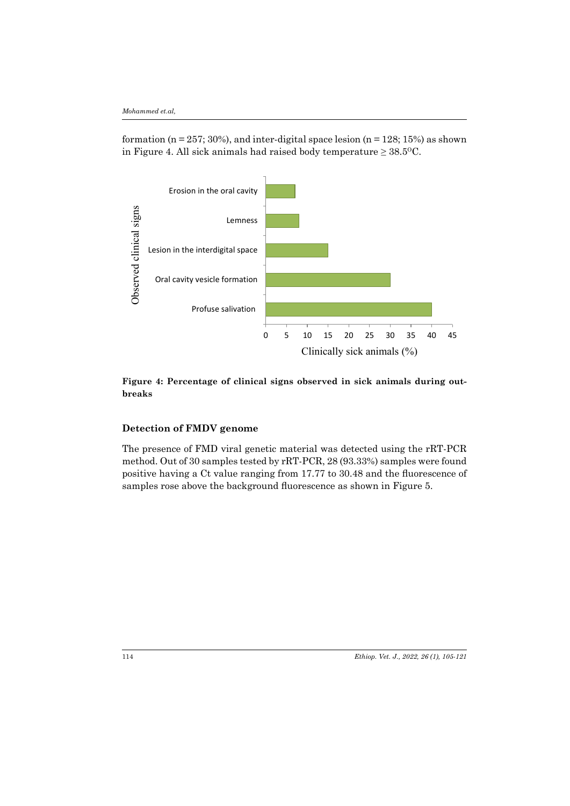formation ( $n = 257$ ; 30%), and inter-digital space lesion ( $n = 128$ ; 15%) as shown in Figure 4. All sick animals had raised body temperature  $\geq 38.5^{\circ}$ C.



**Figure 4: Percentage of clinical signs observed in sick animals during outbreaks**

## **Detection of FMDV genome**

The presence of FMD viral genetic material was detected using the rRT-PCR method. Out of 30 samples tested by rRT-PCR, 28 (93.33%) samples were found positive having a Ct value ranging from 17.77 to 30.48 and the fluorescence of samples rose above the background fluorescence as shown in Figure 5.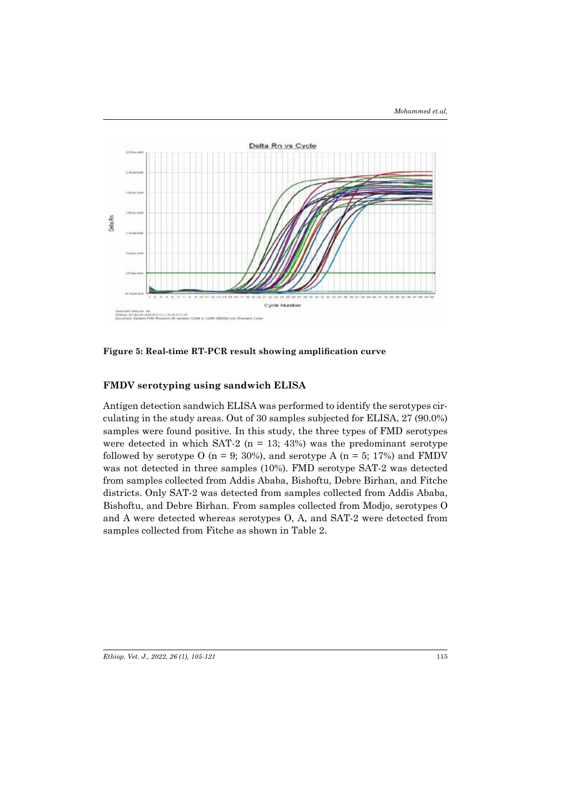

**Figure 5: Real-time RT-PCR result showing amplification curve**

## **FMDV serotyping using sandwich ELISA**

Antigen detection sandwich ELISA was performed to identify the serotypes circulating in the study areas. Out of 30 samples subjected for ELISA, 27 (90.0%) samples were found positive. In this study, the three types of FMD serotypes were detected in which SAT-2 ( $n = 13$ ; 43%) was the predominant serotype followed by serotype O ( $n = 9$ ; 30%), and serotype A ( $n = 5$ ; 17%) and FMDV was not detected in three samples (10%). FMD serotype SAT-2 was detected from samples collected from Addis Ababa, Bishoftu, Debre Birhan, and Fitche districts. Only SAT-2 was detected from samples collected from Addis Ababa, Bishoftu, and Debre Birhan. From samples collected from Modjo, serotypes O and A were detected whereas serotypes O, A, and SAT-2 were detected from samples collected from Fitche as shown in Table 2.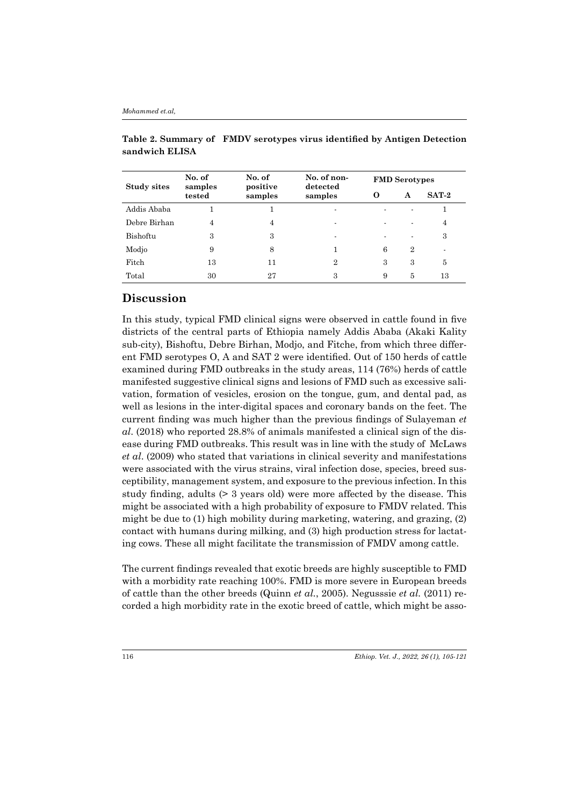| Study sites  | No. of<br>samples<br>tested | No. of<br>positive<br>samples | No. of non-<br>detected<br>samples | <b>FMD</b> Serotypes |                |         |
|--------------|-----------------------------|-------------------------------|------------------------------------|----------------------|----------------|---------|
|              |                             |                               |                                    | O                    | A              | $SAT-2$ |
| Addis Ababa  |                             |                               |                                    |                      |                |         |
| Debre Birhan | 4                           | 4                             |                                    |                      |                | 4       |
| Bishoftu     | 3                           | 3                             | ۰                                  |                      |                | 3       |
| Modio        | 9                           | 8                             |                                    | 6                    | $\overline{2}$ |         |
| Fitch        | 13                          | 11                            | $\overline{2}$                     | 3                    | 3              | 5       |
| Total        | 30                          | 27                            | 3                                  | 9                    | 5              | 13      |

**Table 2. Summary of FMDV serotypes virus identified by Antigen Detection sandwich ELISA**

# **Discussion**

In this study, typical FMD clinical signs were observed in cattle found in five districts of the central parts of Ethiopia namely Addis Ababa (Akaki Kality sub-city), Bishoftu, Debre Birhan, Modjo, and Fitche, from which three different FMD serotypes O, A and SAT 2 were identified. Out of 150 herds of cattle examined during FMD outbreaks in the study areas, 114 (76%) herds of cattle manifested suggestive clinical signs and lesions of FMD such as excessive salivation, formation of vesicles, erosion on the tongue, gum, and dental pad, as well as lesions in the inter-digital spaces and coronary bands on the feet. The current finding was much higher than the previous findings of Sulayeman *et al*. (2018) who reported 28.8% of animals manifested a clinical sign of the disease during FMD outbreaks. This result was in line with the study of McLaws *et al*. (2009) who stated that variations in clinical severity and manifestations were associated with the virus strains, viral infection dose, species, breed susceptibility, management system, and exposure to the previous infection. In this study finding, adults (> 3 years old) were more affected by the disease. This might be associated with a high probability of exposure to FMDV related. This might be due to (1) high mobility during marketing, watering, and grazing, (2) contact with humans during milking, and (3) high production stress for lactating cows. These all might facilitate the transmission of FMDV among cattle.

The current findings revealed that exotic breeds are highly susceptible to FMD with a morbidity rate reaching 100%. FMD is more severe in European breeds of cattle than the other breeds (Quinn *et al.*, 2005). Negusssie *et al.* (2011) recorded a high morbidity rate in the exotic breed of cattle, which might be asso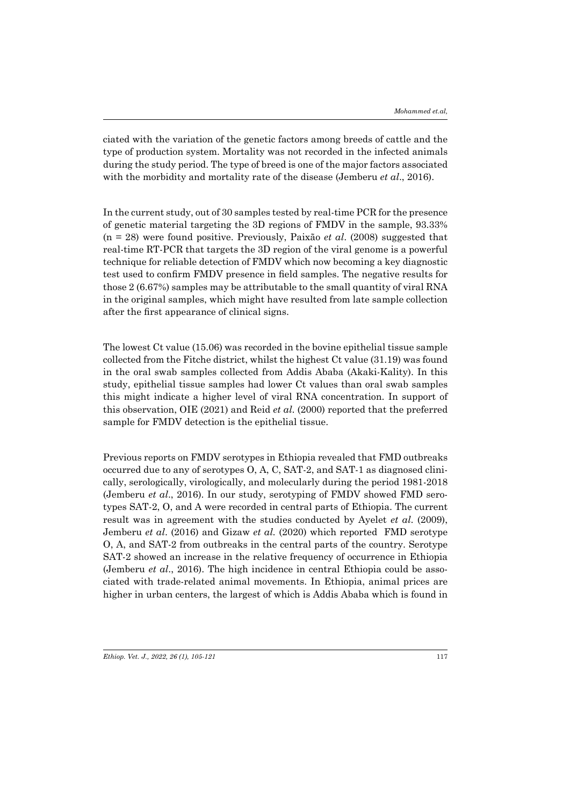ciated with the variation of the genetic factors among breeds of cattle and the type of production system. Mortality was not recorded in the infected animals during the study period. The type of breed is one of the major factors associated with the morbidity and mortality rate of the disease (Jemberu *et al*., 2016).

In the current study, out of 30 samples tested by real-time PCR for the presence of genetic material targeting the 3D regions of FMDV in the sample, 93.33% (n = 28) were found positive. Previously, Paixão *et al*. (2008) suggested that real-time RT-PCR that targets the 3D region of the viral genome is a powerful technique for reliable detection of FMDV which now becoming a key diagnostic test used to confirm FMDV presence in field samples. The negative results for those 2 (6.67%) samples may be attributable to the small quantity of viral RNA in the original samples, which might have resulted from late sample collection after the first appearance of clinical signs.

The lowest Ct value (15.06) was recorded in the bovine epithelial tissue sample collected from the Fitche district, whilst the highest Ct value (31.19) was found in the oral swab samples collected from Addis Ababa (Akaki-Kality). In this study, epithelial tissue samples had lower Ct values than oral swab samples this might indicate a higher level of viral RNA concentration. In support of this observation, OIE (2021) and Reid *et al*. (2000) reported that the preferred sample for FMDV detection is the epithelial tissue.

Previous reports on FMDV serotypes in Ethiopia revealed that FMD outbreaks occurred due to any of serotypes O, A, C, SAT-2, and SAT-1 as diagnosed clinically, serologically, virologically, and molecularly during the period 1981-2018 (Jemberu *et al*., 2016). In our study, serotyping of FMDV showed FMD serotypes SAT-2, O, and A were recorded in central parts of Ethiopia. The current result was in agreement with the studies conducted by Ayelet *et al*. (2009), Jemberu *et al*. (2016) and Gizaw *et al.* (2020) which reported FMD serotype O, A, and SAT-2 from outbreaks in the central parts of the country. Serotype SAT-2 showed an increase in the relative frequency of occurrence in Ethiopia (Jemberu *et al*., 2016). The high incidence in central Ethiopia could be associated with trade-related animal movements. In Ethiopia, animal prices are higher in urban centers, the largest of which is Addis Ababa which is found in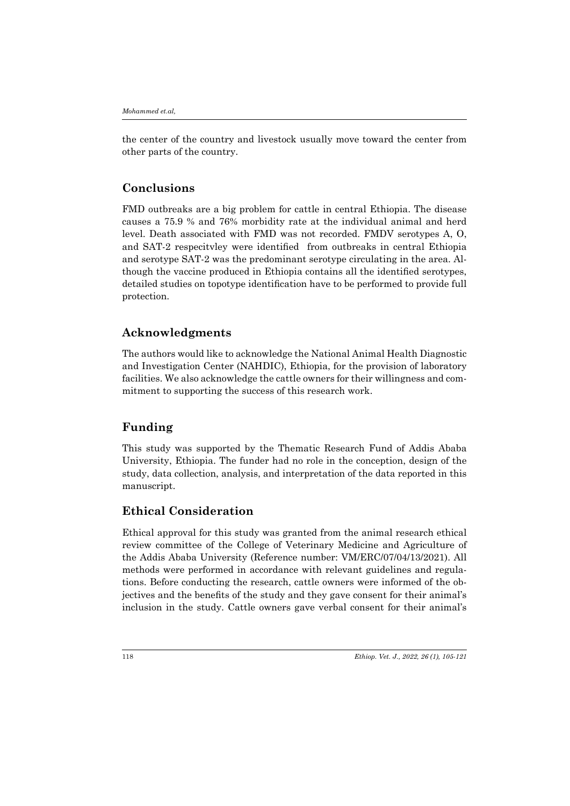the center of the country and livestock usually move toward the center from other parts of the country.

# **Conclusions**

FMD outbreaks are a big problem for cattle in central Ethiopia. The disease causes a 75.9 % and 76% morbidity rate at the individual animal and herd level. Death associated with FMD was not recorded. FMDV serotypes A, O, and SAT-2 respecitvley were identified from outbreaks in central Ethiopia and serotype SAT-2 was the predominant serotype circulating in the area. Although the vaccine produced in Ethiopia contains all the identified serotypes, detailed studies on topotype identification have to be performed to provide full protection.

# **Acknowledgments**

The authors would like to acknowledge the National Animal Health Diagnostic and Investigation Center (NAHDIC), Ethiopia, for the provision of laboratory facilities. We also acknowledge the cattle owners for their willingness and commitment to supporting the success of this research work.

## **Funding**

This study was supported by the Thematic Research Fund of Addis Ababa University, Ethiopia. The funder had no role in the conception, design of the study, data collection, analysis, and interpretation of the data reported in this manuscript.

## **Ethical Consideration**

Ethical approval for this study was granted from the animal research ethical review committee of the College of Veterinary Medicine and Agriculture of the Addis Ababa University (Reference number: VM/ERC/07/04/13/2021). All methods were performed in accordance with relevant guidelines and regulations. Before conducting the research, cattle owners were informed of the objectives and the benefits of the study and they gave consent for their animal's inclusion in the study. Cattle owners gave verbal consent for their animal's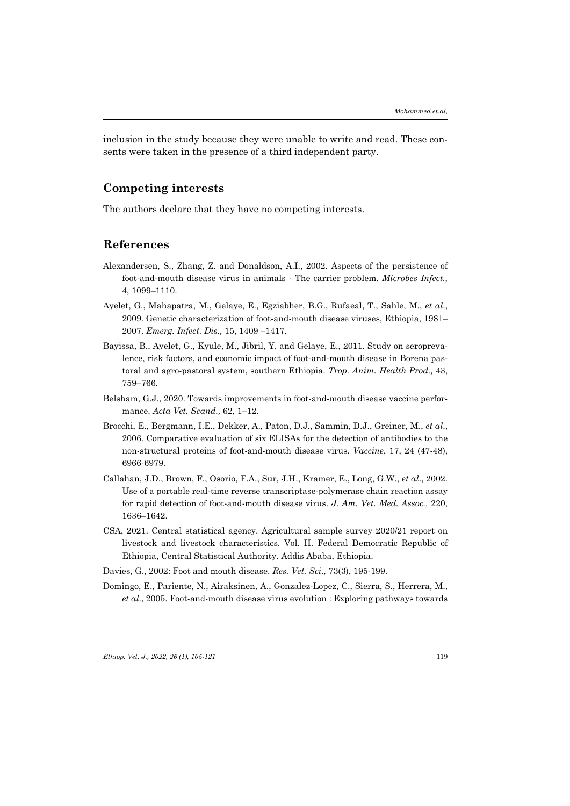inclusion in the study because they were unable to write and read. These consents were taken in the presence of a third independent party.

# **Competing interests**

The authors declare that they have no competing interests.

## **References**

- Alexandersen, S., Zhang, Z. and Donaldson, A.I., 2002. Aspects of the persistence of foot-and-mouth disease virus in animals - The carrier problem. *Microbes Infect.,* 4, 1099–1110.
- Ayelet, G., Mahapatra, M., Gelaye, E., Egziabher, B.G., Rufaeal, T., Sahle, M., *et al*., 2009. Genetic characterization of foot-and-mouth disease viruses, Ethiopia, 1981– 2007. *Emerg. Infect. Dis.,* 15, 1409 –1417.
- Bayissa, B., Ayelet, G., Kyule, M., Jibril, Y. and Gelaye, E., 2011. Study on seroprevalence, risk factors, and economic impact of foot-and-mouth disease in Borena pastoral and agro-pastoral system, southern Ethiopia. *Trop. Anim. Health Prod.,* 43, 759–766.
- Belsham, G.J., 2020. Towards improvements in foot-and-mouth disease vaccine performance. *Acta Vet. Scand.,* 62, 1–12.
- Brocchi, E., Bergmann, I.E., Dekker, A., Paton, D.J., Sammin, D.J., Greiner, M., *et al*., 2006. Comparative evaluation of six ELISAs for the detection of antibodies to the non-structural proteins of foot-and-mouth disease virus. *Vaccine*, 17, 24 (47-48), 6966-6979.
- Callahan, J.D., Brown, F., Osorio, F.A., Sur, J.H., Kramer, E., Long, G.W., *et al*., 2002. Use of a portable real-time reverse transcriptase-polymerase chain reaction assay for rapid detection of foot-and-mouth disease virus. *J. Am. Vet. Med. Assoc.,* 220, 1636–1642.
- CSA, 2021. Central statistical agency. Agricultural sample survey 2020/21 report on livestock and livestock characteristics. Vol. II. Federal Democratic Republic of Ethiopia, Central Statistical Authority. Addis Ababa, Ethiopia.
- Davies, G., 2002: Foot and mouth disease. *Res. Vet. Sci.,* 73(3), 195-199.
- Domingo, E., Pariente, N., Airaksinen, A., Gonzalez-Lopez, C., Sierra, S., Herrera, M., *et al*., 2005. Foot-and-mouth disease virus evolution : Exploring pathways towards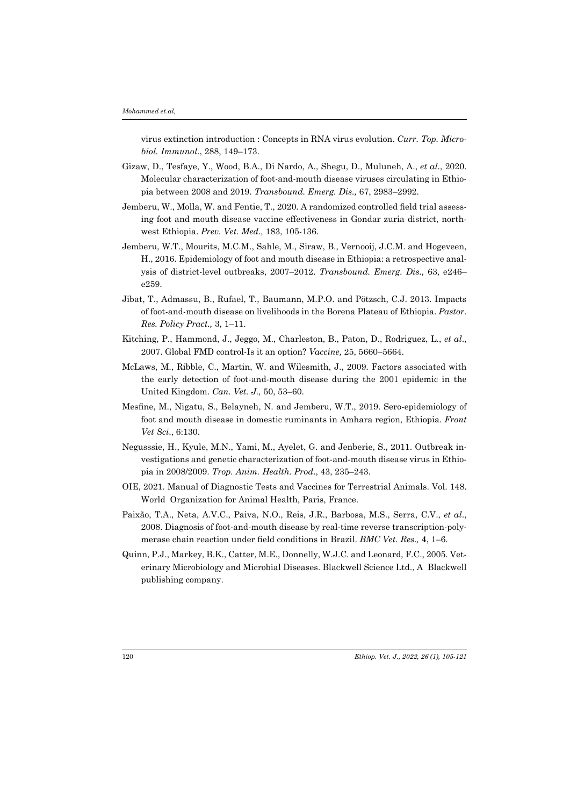virus extinction introduction : Concepts in RNA virus evolution. *Curr. Top. Microbiol. Immunol*., 288, 149–173.

- Gizaw, D., Tesfaye, Y., Wood, B.A., Di Nardo, A., Shegu, D., Muluneh, A., *et al*., 2020. Molecular characterization of foot-and-mouth disease viruses circulating in Ethiopia between 2008 and 2019. *Transbound. Emerg. Dis.,* 67, 2983–2992.
- Jemberu, W., Molla, W. and Fentie, T., 2020. A randomized controlled field trial assessing foot and mouth disease vaccine effectiveness in Gondar zuria district, northwest Ethiopia. *Prev. Vet. Med.,* 183, 105-136.
- Jemberu, W.T., Mourits, M.C.M., Sahle, M., Siraw, B., Vernooij, J.C.M. and Hogeveen, H., 2016. Epidemiology of foot and mouth disease in Ethiopia: a retrospective analysis of district-level outbreaks, 2007–2012. *Transbound. Emerg. Dis.,* 63, e246– e259.
- Jibat, T., Admassu, B., Rufael, T., Baumann, M.P.O. and Pötzsch, C.J. 2013. Impacts of foot-and-mouth disease on livelihoods in the Borena Plateau of Ethiopia. *Pastor. Res. Policy Pract.,* 3, 1–11.
- Kitching, P., Hammond, J., Jeggo, M., Charleston, B., Paton, D., Rodriguez, L., *et al*., 2007. Global FMD control-Is it an option? *Vaccine,* 25, 5660–5664.
- McLaws, M., Ribble, C., Martin, W. and Wilesmith, J., 2009. Factors associated with the early detection of foot-and-mouth disease during the 2001 epidemic in the United Kingdom. *Can. Vet. J.,* 50, 53–60.
- Mesfine, M., Nigatu, S., Belayneh, N. and Jemberu, W.T., 2019. Sero-epidemiology of foot and mouth disease in domestic ruminants in Amhara region, Ethiopia. *Front Vet Sci*., 6:130.
- Negusssie, H., Kyule, M.N., Yami, M., Ayelet, G. and Jenberie, S., 2011. Outbreak investigations and genetic characterization of foot-and-mouth disease virus in Ethiopia in 2008/2009. *Trop. Anim. Health. Prod*., 43, 235–243.
- OIE, 2021. Manual of Diagnostic Tests and Vaccines for Terrestrial Animals. Vol. 148. World Organization for Animal Health, Paris, France.
- Paixão, T.A., Neta, A.V.C., Paiva, N.O., Reis, J.R., Barbosa, M.S., Serra, C.V., *et al*., 2008. Diagnosis of foot-and-mouth disease by real-time reverse transcription-polymerase chain reaction under field conditions in Brazil. *BMC Vet. Res.,* **4**, 1–6.
- Quinn, P.J., Markey, B.K., Catter, M.E., Donnelly, W.J.C. and Leonard, F.C., 2005. Veterinary Microbiology and Microbial Diseases. Blackwell Science Ltd., A Blackwell publishing company.